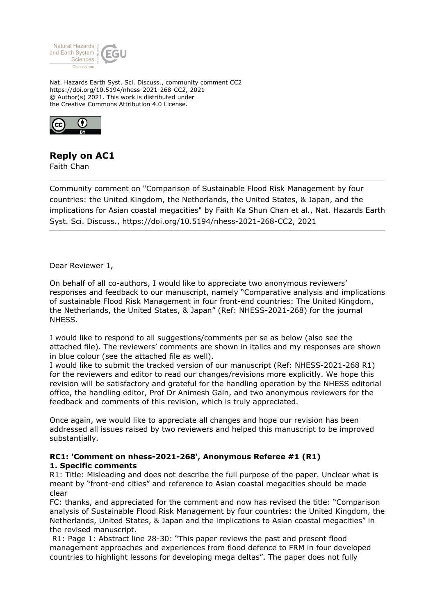

Nat. Hazards Earth Syst. Sci. Discuss., community comment CC2 https://doi.org/10.5194/nhess-2021-268-CC2, 2021 © Author(s) 2021. This work is distributed under the Creative Commons Attribution 4.0 License.



## **Reply on AC1**

Faith Chan

Community comment on "Comparison of Sustainable Flood Risk Management by four countries: the United Kingdom, the Netherlands, the United States, & Japan, and the implications for Asian coastal megacities" by Faith Ka Shun Chan et al., Nat. Hazards Earth Syst. Sci. Discuss., https://doi.org/10.5194/nhess-2021-268-CC2, 2021

Dear Reviewer 1,

On behalf of all co-authors, I would like to appreciate two anonymous reviewers' responses and feedback to our manuscript, namely "Comparative analysis and implications of sustainable Flood Risk Management in four front-end countries: The United Kingdom, the Netherlands, the United States, & Japan" (Ref: NHESS-2021-268) for the journal NHESS.

I would like to respond to all suggestions/comments per se as below (also see the attached file). The reviewers' comments are shown in italics and my responses are shown in blue colour (see the attached file as well).

I would like to submit the tracked version of our manuscript (Ref: NHESS-2021-268 R1) for the reviewers and editor to read our changes/revisions more explicitly. We hope this revision will be satisfactory and grateful for the handling operation by the NHESS editorial office, the handling editor, Prof Dr Animesh Gain, and two anonymous reviewers for the feedback and comments of this revision, which is truly appreciated.

Once again, we would like to appreciate all changes and hope our revision has been addressed all issues raised by two reviewers and helped this manuscript to be improved substantially.

## **RC1: 'Comment on nhess-2021-268', Anonymous Referee #1 (R1) 1. Specific comments**

R1: Title: Misleading and does not describe the full purpose of the paper. Unclear what is meant by "front-end cities" and reference to Asian coastal megacities should be made clear

FC: thanks, and appreciated for the comment and now has revised the title: "Comparison analysis of Sustainable Flood Risk Management by four countries: the United Kingdom, the Netherlands, United States, & Japan and the implications to Asian coastal megacities" in the revised manuscript.

 R1: Page 1: Abstract line 28-30: "This paper reviews the past and present flood management approaches and experiences from flood defence to FRM in four developed countries to highlight lessons for developing mega deltas". The paper does not fully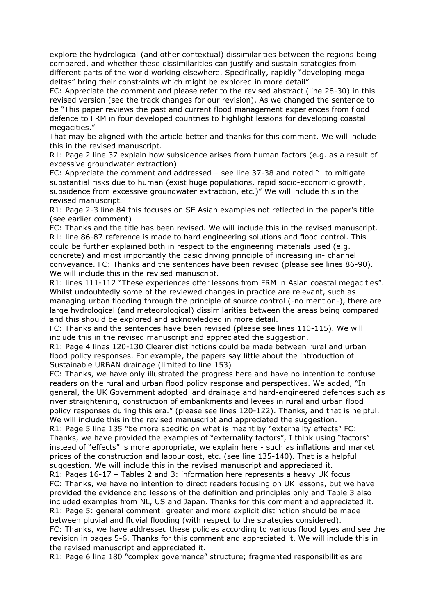explore the hydrological (and other contextual) dissimilarities between the regions being compared, and whether these dissimilarities can justify and sustain strategies from different parts of the world working elsewhere. Specifically, rapidly "developing mega deltas" bring their constraints which might be explored in more detail"

FC: Appreciate the comment and please refer to the revised abstract (line 28-30) in this revised version (see the track changes for our revision). As we changed the sentence to be "This paper reviews the past and current flood management experiences from flood defence to FRM in four developed countries to highlight lessons for developing coastal megacities."

That may be aligned with the article better and thanks for this comment. We will include this in the revised manuscript.

R1: Page 2 line 37 explain how subsidence arises from human factors (e.g. as a result of excessive groundwater extraction)

FC: Appreciate the comment and addressed – see line 37-38 and noted "…to mitigate substantial risks due to human (exist huge populations, rapid socio-economic growth, subsidence from excessive groundwater extraction, etc.)" We will include this in the revised manuscript.

R1: Page 2-3 line 84 this focuses on SE Asian examples not reflected in the paper's title (see earlier comment)

FC: Thanks and the title has been revised. We will include this in the revised manuscript. R1: line 86-87 reference is made to hard engineering solutions and flood control. This could be further explained both in respect to the engineering materials used (e.g. concrete) and most importantly the basic driving principle of increasing in- channel conveyance. FC: Thanks and the sentences have been revised (please see lines 86-90). We will include this in the revised manuscript.

R1: lines 111-112 "These experiences offer lessons from FRM in Asian coastal megacities". Whilst undoubtedly some of the reviewed changes in practice are relevant, such as managing urban flooding through the principle of source control (-no mention-), there are large hydrological (and meteorological) dissimilarities between the areas being compared and this should be explored and acknowledged in more detail.

FC: Thanks and the sentences have been revised (please see lines 110-115). We will include this in the revised manuscript and appreciated the suggestion.

R1: Page 4 lines 120-130 Clearer distinctions could be made between rural and urban flood policy responses. For example, the papers say little about the introduction of Sustainable URBAN drainage (limited to line 153)

FC: Thanks, we have only illustrated the progress here and have no intention to confuse readers on the rural and urban flood policy response and perspectives. We added, "In general, the UK Government adopted land drainage and hard-engineered defences such as river straightening, construction of embankments and levees in rural and urban flood policy responses during this era." (please see lines 120-122). Thanks, and that is helpful. We will include this in the revised manuscript and appreciated the suggestion.

R1: Page 5 line 135 "be more specific on what is meant by "externality effects" FC: Thanks, we have provided the examples of "externality factors", I think using "factors" instead of "effects" is more appropriate, we explain here - such as inflations and market prices of the construction and labour cost, etc. (see line 135-140). That is a helpful suggestion. We will include this in the revised manuscript and appreciated it.

R1: Pages 16-17 – Tables 2 and 3: information here represents a heavy UK focus FC: Thanks, we have no intention to direct readers focusing on UK lessons, but we have provided the evidence and lessons of the definition and principles only and Table 3 also included examples from NL, US and Japan. Thanks for this comment and appreciated it. R1: Page 5: general comment: greater and more explicit distinction should be made between pluvial and fluvial flooding (with respect to the strategies considered).

FC: Thanks, we have addressed these policies according to various flood types and see the revision in pages 5-6. Thanks for this comment and appreciated it. We will include this in the revised manuscript and appreciated it.

R1: Page 6 line 180 "complex governance" structure; fragmented responsibilities are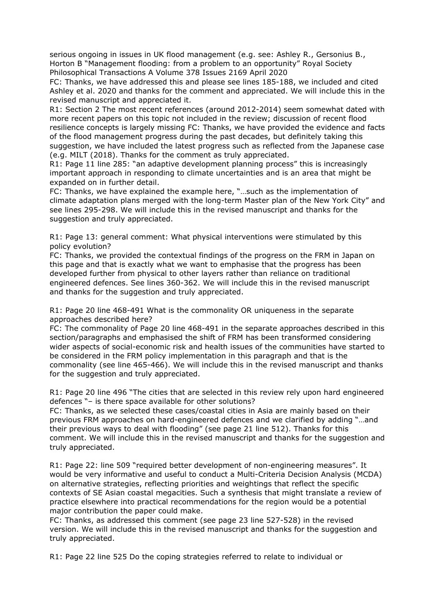serious ongoing in issues in UK flood management (e.g. see: Ashley R., Gersonius B., Horton B "Management flooding: from a problem to an opportunity" Royal Society Philosophical Transactions A Volume 378 Issues 2169 April 2020

FC: Thanks, we have addressed this and please see lines 185-188, we included and cited Ashley et al. 2020 and thanks for the comment and appreciated. We will include this in the revised manuscript and appreciated it.

R1: Section 2 The most recent references (around 2012-2014) seem somewhat dated with more recent papers on this topic not included in the review; discussion of recent flood resilience concepts is largely missing FC: Thanks, we have provided the evidence and facts of the flood management progress during the past decades, but definitely taking this suggestion, we have included the latest progress such as reflected from the Japanese case (e.g. MILT (2018). Thanks for the comment as truly appreciated.

R1: Page 11 line 285: "an adaptive development planning process" this is increasingly important approach in responding to climate uncertainties and is an area that might be expanded on in further detail.

FC: Thanks, we have explained the example here, "…such as the implementation of climate adaptation plans merged with the long-term Master plan of the New York City" and see lines 295-298. We will include this in the revised manuscript and thanks for the suggestion and truly appreciated.

R1: Page 13: general comment: What physical interventions were stimulated by this policy evolution?

FC: Thanks, we provided the contextual findings of the progress on the FRM in Japan on this page and that is exactly what we want to emphasise that the progress has been developed further from physical to other layers rather than reliance on traditional engineered defences. See lines 360-362. We will include this in the revised manuscript and thanks for the suggestion and truly appreciated.

R1: Page 20 line 468-491 What is the commonality OR uniqueness in the separate approaches described here?

FC: The commonality of Page 20 line 468-491 in the separate approaches described in this section/paragraphs and emphasised the shift of FRM has been transformed considering wider aspects of social-economic risk and health issues of the communities have started to be considered in the FRM policy implementation in this paragraph and that is the commonality (see line 465-466). We will include this in the revised manuscript and thanks for the suggestion and truly appreciated.

R1: Page 20 line 496 "The cities that are selected in this review rely upon hard engineered defences "– is there space available for other solutions?

FC: Thanks, as we selected these cases/coastal cities in Asia are mainly based on their previous FRM approaches on hard-engineered defences and we clarified by adding "…and their previous ways to deal with flooding" (see page 21 line 512). Thanks for this comment. We will include this in the revised manuscript and thanks for the suggestion and truly appreciated.

R1: Page 22: line 509 "required better development of non-engineering measures". It would be very informative and useful to conduct a Multi-Criteria Decision Analysis (MCDA) on alternative strategies, reflecting priorities and weightings that reflect the specific contexts of SE Asian coastal megacities. Such a synthesis that might translate a review of practice elsewhere into practical recommendations for the region would be a potential major contribution the paper could make.

FC: Thanks, as addressed this comment (see page 23 line 527-528) in the revised version. We will include this in the revised manuscript and thanks for the suggestion and truly appreciated.

R1: Page 22 line 525 Do the coping strategies referred to relate to individual or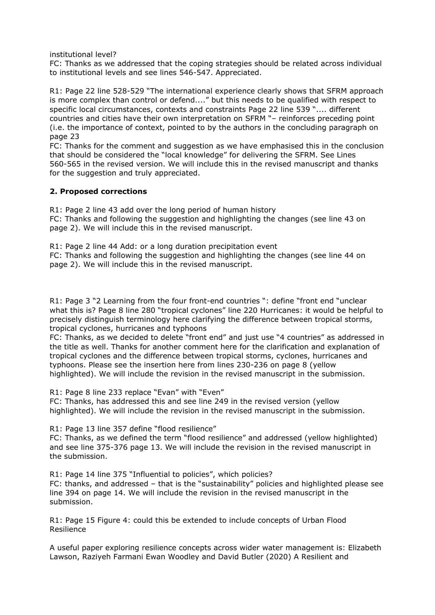institutional level?

FC: Thanks as we addressed that the coping strategies should be related across individual to institutional levels and see lines 546-547. Appreciated.

R1: Page 22 line 528-529 "The international experience clearly shows that SFRM approach is more complex than control or defend...." but this needs to be qualified with respect to specific local circumstances, contexts and constraints Page 22 line 539 ".... different countries and cities have their own interpretation on SFRM "– reinforces preceding point (i.e. the importance of context, pointed to by the authors in the concluding paragraph on page 23

FC: Thanks for the comment and suggestion as we have emphasised this in the conclusion that should be considered the "local knowledge" for delivering the SFRM. See Lines 560-565 in the revised version. We will include this in the revised manuscript and thanks for the suggestion and truly appreciated.

## **2. Proposed corrections**

R1: Page 2 line 43 add over the long period of human history FC: Thanks and following the suggestion and highlighting the changes (see line 43 on page 2). We will include this in the revised manuscript.

R1: Page 2 line 44 Add: or a long duration precipitation event FC: Thanks and following the suggestion and highlighting the changes (see line 44 on page 2). We will include this in the revised manuscript.

R1: Page 3 "2 Learning from the four front-end countries ": define "front end "unclear what this is? Page 8 line 280 "tropical cyclones" line 220 Hurricanes: it would be helpful to precisely distinguish terminology here clarifying the difference between tropical storms, tropical cyclones, hurricanes and typhoons

FC: Thanks, as we decided to delete "front end" and just use "4 countries" as addressed in the title as well. Thanks for another comment here for the clarification and explanation of tropical cyclones and the difference between tropical storms, cyclones, hurricanes and typhoons. Please see the insertion here from lines 230-236 on page 8 (yellow highlighted). We will include the revision in the revised manuscript in the submission.

R1: Page 8 line 233 replace "Evan" with "Even"

FC: Thanks, has addressed this and see line 249 in the revised version (yellow highlighted). We will include the revision in the revised manuscript in the submission.

R1: Page 13 line 357 define "flood resilience"

FC: Thanks, as we defined the term "flood resilience" and addressed (yellow highlighted) and see line 375-376 page 13. We will include the revision in the revised manuscript in the submission.

R1: Page 14 line 375 "Influential to policies", which policies?

FC: thanks, and addressed – that is the "sustainability" policies and highlighted please see line 394 on page 14. We will include the revision in the revised manuscript in the submission.

R1: Page 15 Figure 4: could this be extended to include concepts of Urban Flood Resilience

A useful paper exploring resilience concepts across wider water management is: Elizabeth Lawson, Raziyeh Farmani Ewan Woodley and David Butler (2020) A Resilient and